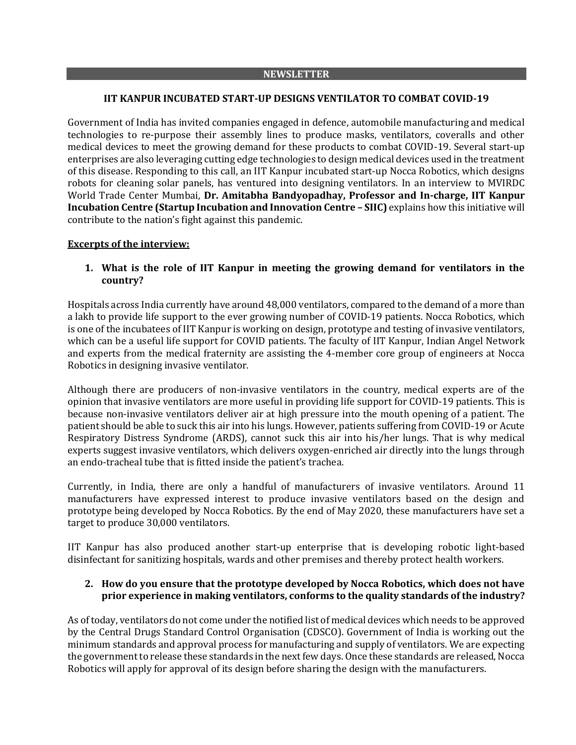#### **NEWSLETTER**

### **IIT KANPUR INCUBATED START-UP DESIGNS VENTILATOR TO COMBAT COVID-19**

Government of India has invited companies engaged in defence, automobile manufacturing and medical technologies to re-purpose their assembly lines to produce masks, ventilators, coveralls and other medical devices to meet the growing demand for these products to combat COVID-19. Several start-up enterprises are also leveraging cutting edge technologies to design medical devices used in the treatment of this disease. Responding to this call, an IIT Kanpur incubated start-up Nocca Robotics, which designs robots for cleaning solar panels, has ventured into designing ventilators. In an interview to MVIRDC World Trade Center Mumbai, **Dr. Amitabha Bandyopadhay, Professor and In-charge, IIT Kanpur Incubation Centre (Startup Incubation and Innovation Centre – SIIC)** explains how this initiative will contribute to the nation's fight against this pandemic.

#### **Excerpts of the interview:**

**1. What is the role of IIT Kanpur in meeting the growing demand for ventilators in the country?**

Hospitals across India currently have around 48,000 ventilators, compared to the demand of a more than a lakh to provide life support to the ever growing number of COVID-19 patients. Nocca Robotics, which is one of the incubatees of IIT Kanpur is working on design, prototype and testing of invasive ventilators, which can be a useful life support for COVID patients. The faculty of IIT Kanpur, Indian Angel Network and experts from the medical fraternity are assisting the 4-member core group of engineers at Nocca Robotics in designing invasive ventilator.

Although there are producers of non-invasive ventilators in the country, medical experts are of the opinion that invasive ventilators are more useful in providing life support for COVID-19 patients. This is because non-invasive ventilators deliver air at high pressure into the mouth opening of a patient. The patient should be able to suck this air into his lungs. However, patients suffering from COVID-19 or Acute Respiratory Distress Syndrome (ARDS), cannot suck this air into his/her lungs. That is why medical experts suggest invasive ventilators, which delivers oxygen-enriched air directly into the lungs through an endo-tracheal tube that is fitted inside the patient's trachea.

Currently, in India, there are only a handful of manufacturers of invasive ventilators. Around 11 manufacturers have expressed interest to produce invasive ventilators based on the design and prototype being developed by Nocca Robotics. By the end of May 2020, these manufacturers have set a target to produce 30,000 ventilators.

IIT Kanpur has also produced another start-up enterprise that is developing robotic light-based disinfectant for sanitizing hospitals, wards and other premises and thereby protect health workers.

### **2. How do you ensure that the prototype developed by Nocca Robotics, which does not have prior experience in making ventilators, conforms to the quality standards of the industry?**

As of today, ventilators do not come under the notified list of medical devices which needs to be approved by the Central Drugs Standard Control Organisation (CDSCO). Government of India is working out the minimum standards and approval process for manufacturing and supply of ventilators. We are expecting the government to release these standards in the next few days. Once these standards are released, Nocca Robotics will apply for approval of its design before sharing the design with the manufacturers.